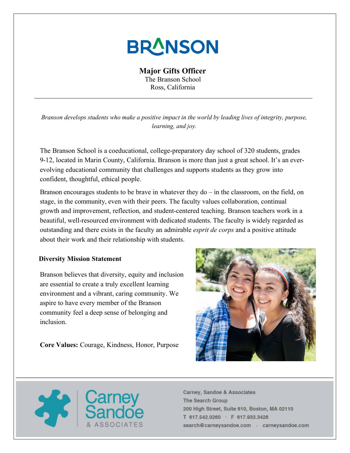# **BRANSON**

## **Major Gifts Officer**

The Branson School Ross, California

*Branson develops students who make a positive impact in the world by leading lives of integrity, purpose, learning, and joy.*

The Branson School is a coeducational, college-preparatory day school of 320 students, grades 9-12, located in Marin County, California. Branson is more than just a great school. It's an everevolving educational community that challenges and supports students as they grow into confident, thoughtful, ethical people.

Branson encourages students to be brave in whatever they  $d\sigma$  – in the classroom, on the field, on stage, in the community, even with their peers. The faculty values collaboration, continual growth and improvement, reflection, and student-centered teaching. Branson teachers work in a beautiful, well-resourced environment with dedicated students. The faculty is widely regarded as outstanding and there exists in the faculty an admirable *esprit de corps* and a positive attitude about their work and their relationship with students.

### **Diversity Mission Statement**

Branson believes that diversity, equity and inclusion are essential to create a truly excellent learning environment and a vibrant, caring community. We aspire to have every member of the Branson community feel a deep sense of belonging and inclusion.

**Core Values:** Courage, Kindness, Honor, Purpose



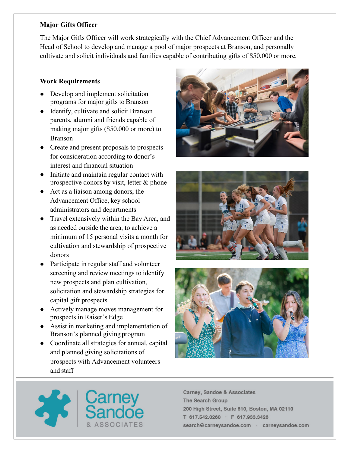## **Major Gifts Officer**

The Major Gifts Officer will work strategically with the Chief Advancement Officer and the Head of School to develop and manage a pool of major prospects at Branson, and personally cultivate and solicit individuals and families capable of contributing gifts of \$50,000 or more.

## **Work Requirements**

- Develop and implement solicitation programs for major gifts to Branson
- Identify, cultivate and solicit Branson parents, alumni and friends capable of making major gifts (\$50,000 or more) to Branson
- Create and present proposals to prospects for consideration according to donor's interest and financial situation
- Initiate and maintain regular contact with prospective donors by visit, letter & phone
- Act as a liaison among donors, the Advancement Office, key school administrators and departments
- Travel extensively within the Bay Area, and as needed outside the area, to achieve a minimum of 15 personal visits a month for cultivation and stewardship of prospective donors
- Participate in regular staff and volunteer screening and review meetings to identify new prospects and plan cultivation, solicitation and stewardship strategies for capital gift prospects
- Actively manage moves management for prospects in Raiser's Edge
- Assist in marketing and implementation of Branson's planned giving program
- Coordinate all strategies for annual, capital and planned giving solicitations of prospects with Advancement volunteers and staff







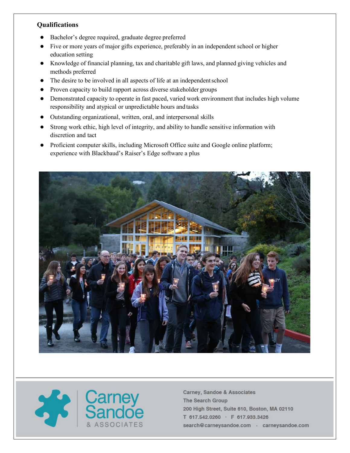### **Qualifications**

- Bachelor's degree required, graduate degree preferred
- Five or more years of major gifts experience, preferably in an independent school or higher education setting
- Knowledge of financial planning, tax and charitable gift laws, and planned giving vehicles and methods preferred
- The desire to be involved in all aspects of life at an independentschool
- Proven capacity to build rapport across diverse stakeholder groups
- Demonstrated capacity to operate in fast paced, varied work environment that includes high volume responsibility and atypical or unpredictable hours and tasks
- Outstanding organizational, written, oral, and interpersonal skills
- Strong work ethic, high level of integrity, and ability to handle sensitive information with discretion and tact
- Proficient computer skills, including Microsoft Office suite and Google online platform; experience with Blackbaud's Raiser's Edge software a plus